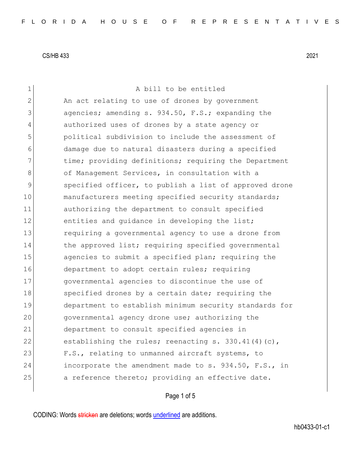| 1            | A bill to be entitled                                  |
|--------------|--------------------------------------------------------|
| $\mathbf{2}$ | An act relating to use of drones by government         |
| 3            | agencies; amending s. 934.50, F.S.; expanding the      |
| 4            | authorized uses of drones by a state agency or         |
| 5            | political subdivision to include the assessment of     |
| 6            | damage due to natural disasters during a specified     |
| 7            | time; providing definitions; requiring the Department  |
| 8            | of Management Services, in consultation with a         |
| 9            | specified officer, to publish a list of approved drone |
| 10           | manufacturers meeting specified security standards;    |
| 11           | authorizing the department to consult specified        |
| 12           | entities and guidance in developing the list;          |
| 13           | requiring a governmental agency to use a drone from    |
| 14           | the approved list; requiring specified governmental    |
| 15           | agencies to submit a specified plan; requiring the     |
| 16           | department to adopt certain rules; requiring           |
| 17           | governmental agencies to discontinue the use of        |
| 18           | specified drones by a certain date; requiring the      |
| 19           | department to establish minimum security standards for |
| 20           | governmental agency drone use; authorizing the         |
| 21           | department to consult specified agencies in            |
| 22           | establishing the rules; reenacting s. $330.41(4)(c)$ , |
| 23           | F.S., relating to unmanned aircraft systems, to        |
| 24           | incorporate the amendment made to s. 934.50, F.S., in  |
| 25           | a reference thereto; providing an effective date.      |
|              |                                                        |

# Page 1 of 5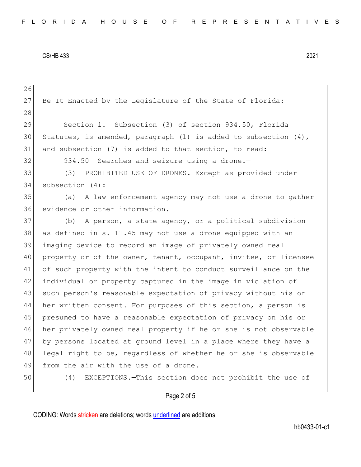| 26 |                                                                      |
|----|----------------------------------------------------------------------|
| 27 | Be It Enacted by the Legislature of the State of Florida:            |
| 28 |                                                                      |
| 29 | Section 1. Subsection (3) of section 934.50, Florida                 |
| 30 | Statutes, is amended, paragraph $(1)$ is added to subsection $(4)$ , |
| 31 | and subsection (7) is added to that section, to read:                |
| 32 | 934.50 Searches and seizure using a drone.-                          |
| 33 | (3)<br>PROHIBITED USE OF DRONES.-Except as provided under            |
| 34 | subsection $(4)$ :                                                   |
| 35 | A law enforcement agency may not use a drone to gather<br>(a)        |
| 36 | evidence or other information.                                       |
| 37 | A person, a state agency, or a political subdivision<br>(b)          |
| 38 | as defined in s. 11.45 may not use a drone equipped with an          |
| 39 | imaging device to record an image of privately owned real            |
| 40 | property or of the owner, tenant, occupant, invitee, or licensee     |
| 41 | of such property with the intent to conduct surveillance on the      |
| 42 | individual or property captured in the image in violation of         |
| 43 | such person's reasonable expectation of privacy without his or       |
| 44 | her written consent. For purposes of this section, a person is       |
| 45 | presumed to have a reasonable expectation of privacy on his or       |
| 46 | her privately owned real property if he or she is not observable     |
| 47 | by persons located at ground level in a place where they have a      |
| 48 | legal right to be, regardless of whether he or she is observable     |
| 49 | from the air with the use of a drone.                                |
| 50 | EXCEPTIONS.-This section does not prohibit the use of<br>(4)         |

# Page 2 of 5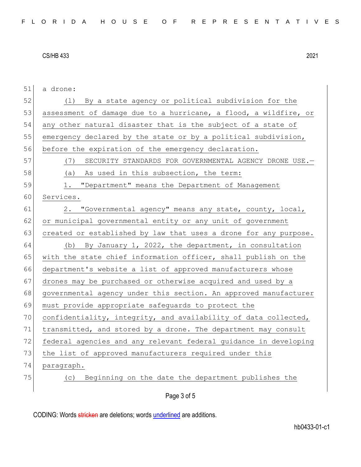| 51 | a drone:                                                         |
|----|------------------------------------------------------------------|
| 52 | (1) By a state agency or political subdivision for the           |
| 53 | assessment of damage due to a hurricane, a flood, a wildfire, or |
| 54 | any other natural disaster that is the subject of a state of     |
| 55 | emergency declared by the state or by a political subdivision,   |
| 56 | before the expiration of the emergency declaration.              |
| 57 | (7) SECURITY STANDARDS FOR GOVERNMENTAL AGENCY DRONE USE.-       |
| 58 | (a) As used in this subsection, the term:                        |
| 59 | "Department" means the Department of Management<br>1.            |
| 60 | Services.                                                        |
| 61 | "Governmental agency" means any state, county, local,<br>2.      |
| 62 | or municipal governmental entity or any unit of government       |
| 63 | created or established by law that uses a drone for any purpose. |
| 64 | (b) By January 1, 2022, the department, in consultation          |
| 65 | with the state chief information officer, shall publish on the   |
| 66 | department's website a list of approved manufacturers whose      |
| 67 | drones may be purchased or otherwise acquired and used by a      |
| 68 | governmental agency under this section. An approved manufacturer |
| 69 | must provide appropriate safeguards to protect the               |
| 70 | confidentiality, integrity, and availability of data collected,  |
| 71 | transmitted, and stored by a drone. The department may consult   |
| 72 | federal agencies and any relevant federal guidance in developing |
| 73 | the list of approved manufacturers required under this           |
| 74 | paragraph.                                                       |
| 75 | Beginning on the date the department publishes the<br>(C)        |
|    |                                                                  |

Page 3 of 5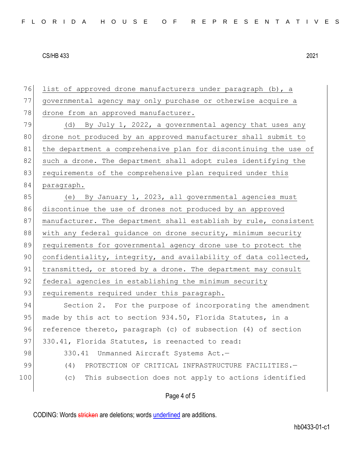76 list of approved drone manufacturers under paragraph (b), a 77 governmental agency may only purchase or otherwise acquire a 78 drone from an approved manufacturer. 79  $\vert$  (d) By July 1, 2022, a governmental agency that uses any 80 drone not produced by an approved manufacturer shall submit to 81 the department a comprehensive plan for discontinuing the use of 82 such a drone. The department shall adopt rules identifying the 83 requirements of the comprehensive plan required under this 84 paragraph. 85 (e) By January 1, 2023, all governmental agencies must 86 discontinue the use of drones not produced by an approved 87 manufacturer. The department shall establish by rule, consistent 88 with any federal quidance on drone security, minimum security 89 requirements for governmental agency drone use to protect the 90 confidentiality, integrity, and availability of data collected, 91 transmitted, or stored by a drone. The department may consult 92 federal agencies in establishing the minimum security 93 requirements required under this paragraph. 94 Section 2. For the purpose of incorporating the amendment 95 made by this act to section 934.50, Florida Statutes, in a 96 reference thereto, paragraph (c) of subsection (4) of section 97 330.41, Florida Statutes, is reenacted to read: 98 330.41 Unmanned Aircraft Systems Act.-99 (4) PROTECTION OF CRITICAL INFRASTRUCTURE FACILITIES. 100 (c) This subsection does not apply to actions identified

## Page 4 of 5